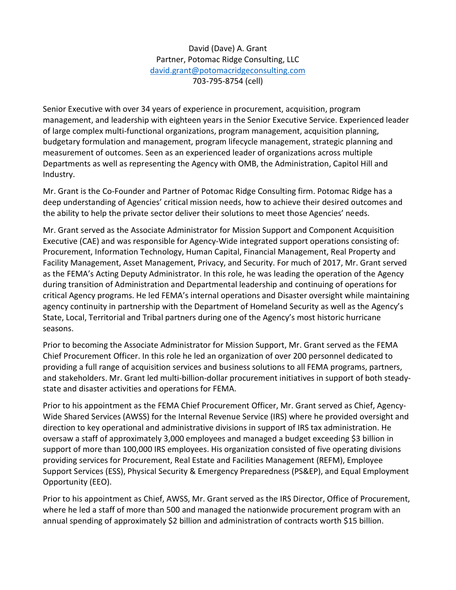David (Dave) A. Grant Partner, Potomac Ridge Consulting, LLC david.grant@potomacridgeconsulting.com 703-795-8754 (cell)

Senior Executive with over 34 years of experience in procurement, acquisition, program management, and leadership with eighteen years in the Senior Executive Service. Experienced leader of large complex multi-functional organizations, program management, acquisition planning, budgetary formulation and management, program lifecycle management, strategic planning and measurement of outcomes. Seen as an experienced leader of organizations across multiple Departments as well as representing the Agency with OMB, the Administration, Capitol Hill and Industry.

Mr. Grant is the Co-Founder and Partner of Potomac Ridge Consulting firm. Potomac Ridge has a deep understanding of Agencies' critical mission needs, how to achieve their desired outcomes and the ability to help the private sector deliver their solutions to meet those Agencies' needs.

Mr. Grant served as the Associate Administrator for Mission Support and Component Acquisition Executive (CAE) and was responsible for Agency-Wide integrated support operations consisting of: Procurement, Information Technology, Human Capital, Financial Management, Real Property and Facility Management, Asset Management, Privacy, and Security. For much of 2017, Mr. Grant served as the FEMA's Acting Deputy Administrator. In this role, he was leading the operation of the Agency during transition of Administration and Departmental leadership and continuing of operations for critical Agency programs. He led FEMA's internal operations and Disaster oversight while maintaining agency continuity in partnership with the Department of Homeland Security as well as the Agency's State, Local, Territorial and Tribal partners during one of the Agency's most historic hurricane seasons.

Prior to becoming the Associate Administrator for Mission Support, Mr. Grant served as the FEMA Chief Procurement Officer. In this role he led an organization of over 200 personnel dedicated to providing a full range of acquisition services and business solutions to all FEMA programs, partners, and stakeholders. Mr. Grant led multi-billion-dollar procurement initiatives in support of both steadystate and disaster activities and operations for FEMA.

Prior to his appointment as the FEMA Chief Procurement Officer, Mr. Grant served as Chief, Agency-Wide Shared Services (AWSS) for the Internal Revenue Service (IRS) where he provided oversight and direction to key operational and administrative divisions in support of IRS tax administration. He oversaw a staff of approximately 3,000 employees and managed a budget exceeding \$3 billion in support of more than 100,000 IRS employees. His organization consisted of five operating divisions providing services for Procurement, Real Estate and Facilities Management (REFM), Employee Support Services (ESS), Physical Security & Emergency Preparedness (PS&EP), and Equal Employment Opportunity (EEO).

Prior to his appointment as Chief, AWSS, Mr. Grant served as the IRS Director, Office of Procurement, where he led a staff of more than 500 and managed the nationwide procurement program with an annual spending of approximately \$2 billion and administration of contracts worth \$15 billion.